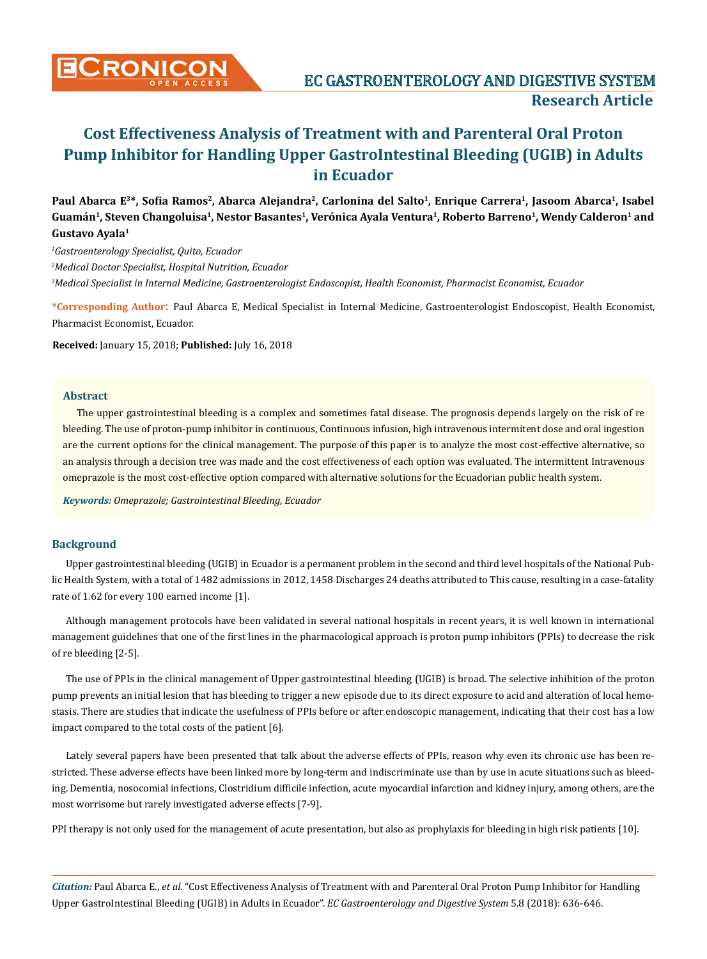Paul Abarca E<sup>3</sup>\*, Sofia Ramos<sup>2</sup>, Abarca Alejandra<sup>2</sup>, Carlonina del Salto<sup>1</sup>, Enrique Carrera<sup>1</sup>, Jasoom Abarca<sup>1</sup>, Isabel **Guamán1, Steven Changoluisa1, Nestor Basantes1, Verónica Ayala Ventura1, Roberto Barreno1, Wendy Calderon1 and Gustavo Ayala1**

*1 Gastroenterology Specialist, Quito, Ecuador*

*2 Medical Doctor Specialist, Hospital Nutrition, Ecuador*

*3 Medical Specialist in Internal Medicine, Gastroenterologist Endoscopist, Health Economist, Pharmacist Economist, Ecuador*

**\*Corresponding Author**: Paul Abarca E, Medical Specialist in Internal Medicine, Gastroenterologist Endoscopist, Health Economist, Pharmacist Economist, Ecuador.

**Received:** January 15, 2018; **Published:** July 16, 2018

#### **Abstract**

The upper gastrointestinal bleeding is a complex and sometimes fatal disease. The prognosis depends largely on the risk of re bleeding. The use of proton-pump inhibitor in continuous, Continuous infusion, high intravenous intermitent dose and oral ingestion are the current options for the clinical management. The purpose of this paper is to analyze the most cost-effective alternative, so an analysis through a decision tree was made and the cost effectiveness of each option was evaluated. The intermittent Intravenous omeprazole is the most cost-effective option compared with alternative solutions for the Ecuadorian public health system.

*Keywords: Omeprazole; Gastrointestinal Bleeding, Ecuador*

#### **Background**

Upper gastrointestinal bleeding (UGIB) in Ecuador is a permanent problem in the second and third level hospitals of the National Public Health System, with a total of 1482 admissions in 2012, 1458 Discharges 24 deaths attributed to This cause, resulting in a case-fatality rate of 1.62 for every 100 earned income [1].

Although management protocols have been validated in several national hospitals in recent years, it is well known in international management guidelines that one of the first lines in the pharmacological approach is proton pump inhibitors (PPIs) to decrease the risk of re bleeding [2-5].

The use of PPIs in the clinical management of Upper gastrointestinal bleeding (UGIB) is broad. The selective inhibition of the proton pump prevents an initial lesion that has bleeding to trigger a new episode due to its direct exposure to acid and alteration of local hemostasis. There are studies that indicate the usefulness of PPIs before or after endoscopic management, indicating that their cost has a low impact compared to the total costs of the patient [6].

Lately several papers have been presented that talk about the adverse effects of PPIs, reason why even its chronic use has been restricted. These adverse effects have been linked more by long-term and indiscriminate use than by use in acute situations such as bleeding. Dementia, nosocomial infections, Clostridium difficile infection, acute myocardial infarction and kidney injury, among others, are the most worrisome but rarely investigated adverse effects [7-9].

PPI therapy is not only used for the management of acute presentation, but also as prophylaxis for bleeding in high risk patients [10].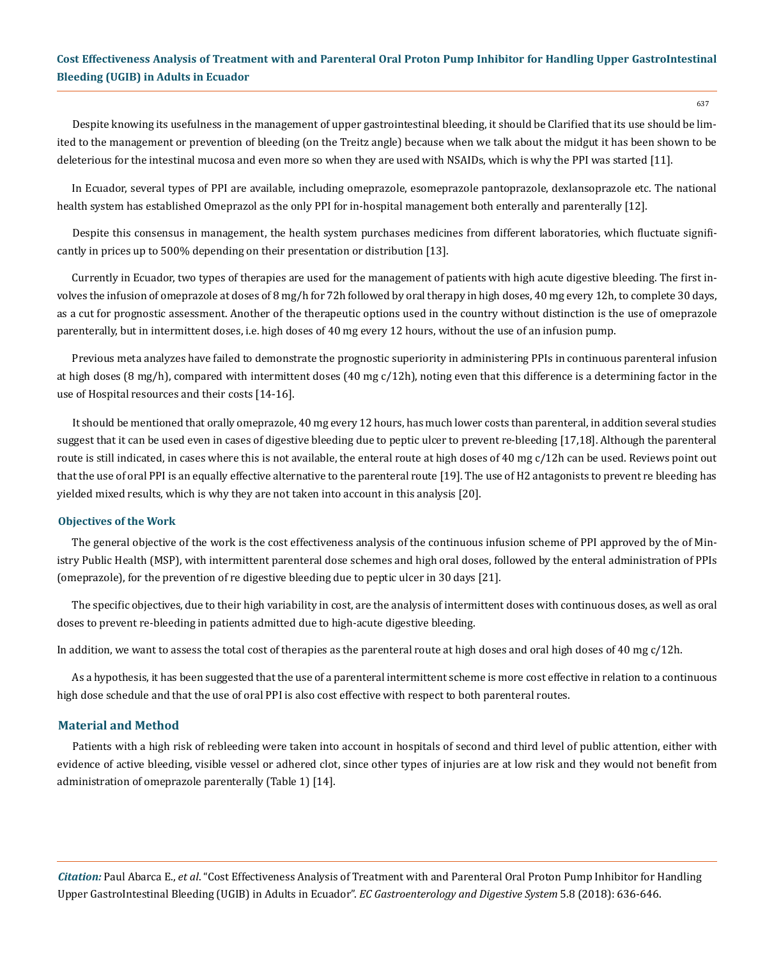Despite knowing its usefulness in the management of upper gastrointestinal bleeding, it should be Clarified that its use should be limited to the management or prevention of bleeding (on the Treitz angle) because when we talk about the midgut it has been shown to be deleterious for the intestinal mucosa and even more so when they are used with NSAIDs, which is why the PPI was started [11].

In Ecuador, several types of PPI are available, including omeprazole, esomeprazole pantoprazole, dexlansoprazole etc. The national health system has established Omeprazol as the only PPI for in-hospital management both enterally and parenterally [12].

Despite this consensus in management, the health system purchases medicines from different laboratories, which fluctuate significantly in prices up to 500% depending on their presentation or distribution [13].

Currently in Ecuador, two types of therapies are used for the management of patients with high acute digestive bleeding. The first involves the infusion of omeprazole at doses of 8 mg/h for 72h followed by oral therapy in high doses, 40 mg every 12h, to complete 30 days, as a cut for prognostic assessment. Another of the therapeutic options used in the country without distinction is the use of omeprazole parenterally, but in intermittent doses, i.e. high doses of 40 mg every 12 hours, without the use of an infusion pump.

Previous meta analyzes have failed to demonstrate the prognostic superiority in administering PPIs in continuous parenteral infusion at high doses (8 mg/h), compared with intermittent doses (40 mg  $c/12h$ ), noting even that this difference is a determining factor in the use of Hospital resources and their costs [14-16].

It should be mentioned that orally omeprazole, 40 mg every 12 hours, has much lower costs than parenteral, in addition several studies suggest that it can be used even in cases of digestive bleeding due to peptic ulcer to prevent re-bleeding [17,18]. Although the parenteral route is still indicated, in cases where this is not available, the enteral route at high doses of 40 mg c/12h can be used. Reviews point out that the use of oral PPI is an equally effective alternative to the parenteral route [19]. The use of H2 antagonists to prevent re bleeding has yielded mixed results, which is why they are not taken into account in this analysis [20].

#### **Objectives of the Work**

The general objective of the work is the cost effectiveness analysis of the continuous infusion scheme of PPI approved by the of Ministry Public Health (MSP), with intermittent parenteral dose schemes and high oral doses, followed by the enteral administration of PPIs (omeprazole), for the prevention of re digestive bleeding due to peptic ulcer in 30 days [21].

The specific objectives, due to their high variability in cost, are the analysis of intermittent doses with continuous doses, as well as oral doses to prevent re-bleeding in patients admitted due to high-acute digestive bleeding.

In addition, we want to assess the total cost of therapies as the parenteral route at high doses and oral high doses of 40 mg  $c/12$ h.

As a hypothesis, it has been suggested that the use of a parenteral intermittent scheme is more cost effective in relation to a continuous high dose schedule and that the use of oral PPI is also cost effective with respect to both parenteral routes.

#### **Material and Method**

Patients with a high risk of rebleeding were taken into account in hospitals of second and third level of public attention, either with evidence of active bleeding, visible vessel or adhered clot, since other types of injuries are at low risk and they would not benefit from administration of omeprazole parenterally (Table 1) [14].

*Citation:* Paul Abarca E., *et al*. "Cost Effectiveness Analysis of Treatment with and Parenteral Oral Proton Pump Inhibitor for Handling Upper GastroIntestinal Bleeding (UGIB) in Adults in Ecuador". *EC Gastroenterology and Digestive System* 5.8 (2018): 636-646.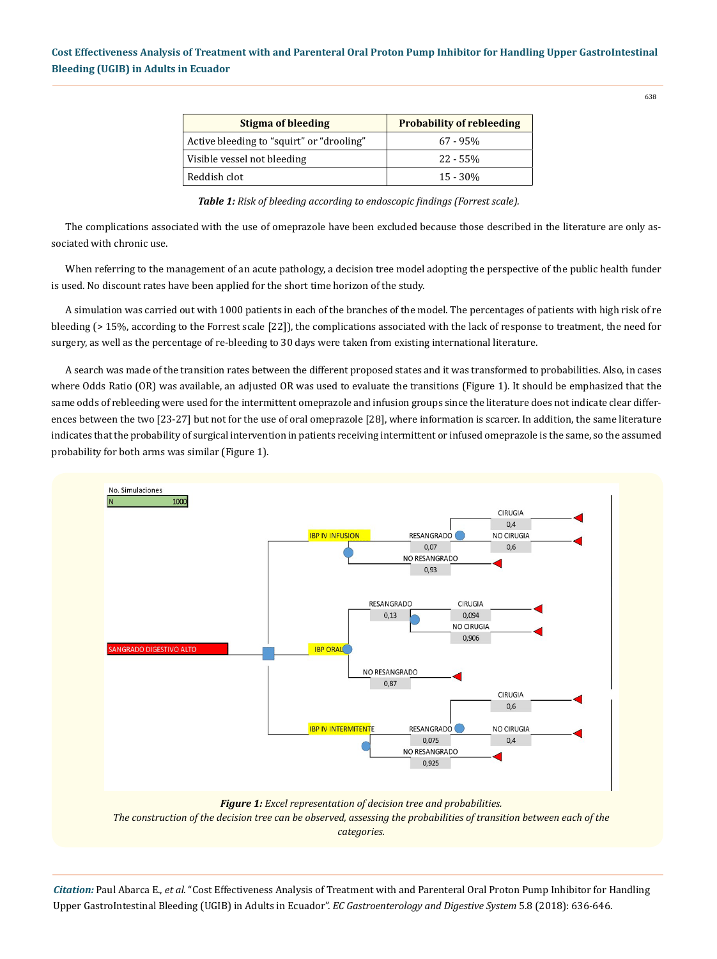| Stigma of bleeding                        | <b>Probability of rebleeding</b> |  |  |
|-------------------------------------------|----------------------------------|--|--|
| Active bleeding to "squirt" or "drooling" | $67 - 95\%$                      |  |  |
| Visible vessel not bleeding               | $22 - 55%$                       |  |  |
| Reddish clot                              | $15 - 30%$                       |  |  |

*Table 1: Risk of bleeding according to endoscopic findings (Forrest scale).*

The complications associated with the use of omeprazole have been excluded because those described in the literature are only associated with chronic use.

When referring to the management of an acute pathology, a decision tree model adopting the perspective of the public health funder is used. No discount rates have been applied for the short time horizon of the study.

A simulation was carried out with 1000 patients in each of the branches of the model. The percentages of patients with high risk of re bleeding (> 15%, according to the Forrest scale [22]), the complications associated with the lack of response to treatment, the need for surgery, as well as the percentage of re-bleeding to 30 days were taken from existing international literature.

A search was made of the transition rates between the different proposed states and it was transformed to probabilities. Also, in cases where Odds Ratio (OR) was available, an adjusted OR was used to evaluate the transitions (Figure 1). It should be emphasized that the same odds of rebleeding were used for the intermittent omeprazole and infusion groups since the literature does not indicate clear differences between the two [23-27] but not for the use of oral omeprazole [28], where information is scarcer. In addition, the same literature indicates that the probability of surgical intervention in patients receiving intermittent or infused omeprazole is the same, so the assumed probability for both arms was similar (Figure 1).



*Citation:* Paul Abarca E., *et al*. "Cost Effectiveness Analysis of Treatment with and Parenteral Oral Proton Pump Inhibitor for Handling Upper GastroIntestinal Bleeding (UGIB) in Adults in Ecuador". *EC Gastroenterology and Digestive System* 5.8 (2018): 636-646.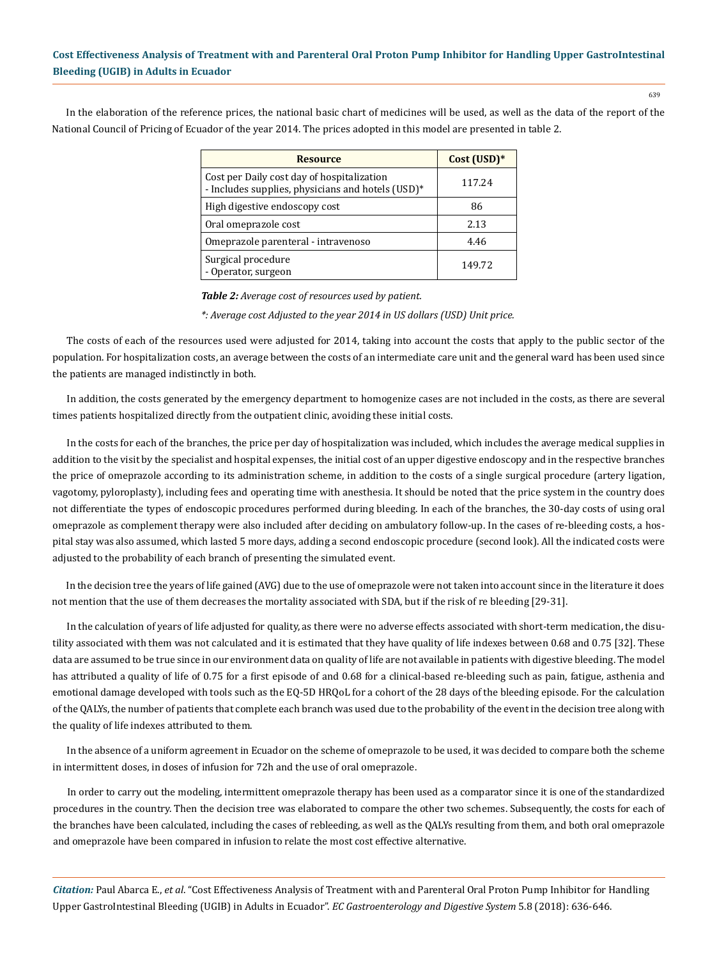639

In the elaboration of the reference prices, the national basic chart of medicines will be used, as well as the data of the report of the National Council of Pricing of Ecuador of the year 2014. The prices adopted in this model are presented in table 2.

| <b>Resource</b>                                                                                 | $Cost (USD)*$ |  |
|-------------------------------------------------------------------------------------------------|---------------|--|
| Cost per Daily cost day of hospitalization<br>- Includes supplies, physicians and hotels (USD)* | 117.24        |  |
| High digestive endoscopy cost                                                                   | 86            |  |
| Oral omeprazole cost                                                                            | 2.13          |  |
| Omeprazole parenteral - intravenoso                                                             | 4.46          |  |
| Surgical procedure<br>- Operator, surgeon                                                       | 149.72        |  |

*Table 2: Average cost of resources used by patient.*

*\*: Average cost Adjusted to the year 2014 in US dollars (USD) Unit price.*

The costs of each of the resources used were adjusted for 2014, taking into account the costs that apply to the public sector of the population. For hospitalization costs, an average between the costs of an intermediate care unit and the general ward has been used since the patients are managed indistinctly in both.

In addition, the costs generated by the emergency department to homogenize cases are not included in the costs, as there are several times patients hospitalized directly from the outpatient clinic, avoiding these initial costs.

In the costs for each of the branches, the price per day of hospitalization was included, which includes the average medical supplies in addition to the visit by the specialist and hospital expenses, the initial cost of an upper digestive endoscopy and in the respective branches the price of omeprazole according to its administration scheme, in addition to the costs of a single surgical procedure (artery ligation, vagotomy, pyloroplasty), including fees and operating time with anesthesia. It should be noted that the price system in the country does not differentiate the types of endoscopic procedures performed during bleeding. In each of the branches, the 30-day costs of using oral omeprazole as complement therapy were also included after deciding on ambulatory follow-up. In the cases of re-bleeding costs, a hospital stay was also assumed, which lasted 5 more days, adding a second endoscopic procedure (second look). All the indicated costs were adjusted to the probability of each branch of presenting the simulated event.

In the decision tree the years of life gained (AVG) due to the use of omeprazole were not taken into account since in the literature it does not mention that the use of them decreases the mortality associated with SDA, but if the risk of re bleeding [29-31].

In the calculation of years of life adjusted for quality, as there were no adverse effects associated with short-term medication, the disutility associated with them was not calculated and it is estimated that they have quality of life indexes between 0.68 and 0.75 [32]. These data are assumed to be true since in our environment data on quality of life are not available in patients with digestive bleeding. The model has attributed a quality of life of 0.75 for a first episode of and 0.68 for a clinical-based re-bleeding such as pain, fatigue, asthenia and emotional damage developed with tools such as the EQ-5D HRQoL for a cohort of the 28 days of the bleeding episode. For the calculation of the QALYs, the number of patients that complete each branch was used due to the probability of the event in the decision tree along with the quality of life indexes attributed to them.

In the absence of a uniform agreement in Ecuador on the scheme of omeprazole to be used, it was decided to compare both the scheme in intermittent doses, in doses of infusion for 72h and the use of oral omeprazole.

In order to carry out the modeling, intermittent omeprazole therapy has been used as a comparator since it is one of the standardized procedures in the country. Then the decision tree was elaborated to compare the other two schemes. Subsequently, the costs for each of the branches have been calculated, including the cases of rebleeding, as well as the QALYs resulting from them, and both oral omeprazole and omeprazole have been compared in infusion to relate the most cost effective alternative.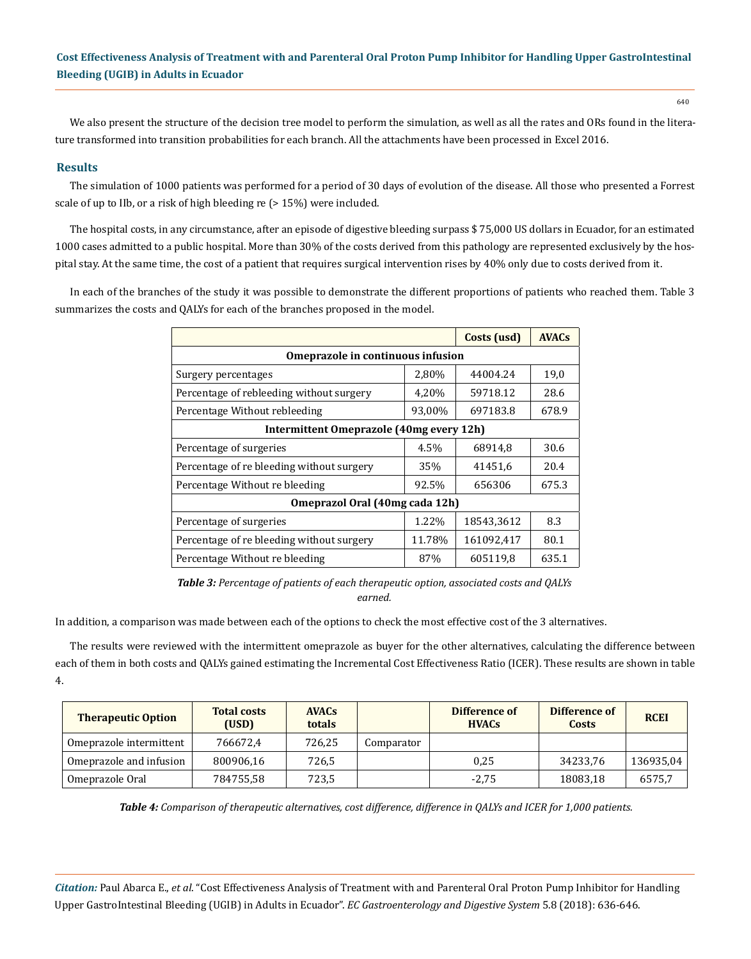We also present the structure of the decision tree model to perform the simulation, as well as all the rates and ORs found in the literature transformed into transition probabilities for each branch. All the attachments have been processed in Excel 2016.

## **Results**

The simulation of 1000 patients was performed for a period of 30 days of evolution of the disease. All those who presented a Forrest scale of up to IIb, or a risk of high bleeding re (> 15%) were included.

The hospital costs, in any circumstance, after an episode of digestive bleeding surpass \$ 75,000 US dollars in Ecuador, for an estimated 1000 cases admitted to a public hospital. More than 30% of the costs derived from this pathology are represented exclusively by the hospital stay. At the same time, the cost of a patient that requires surgical intervention rises by 40% only due to costs derived from it.

In each of the branches of the study it was possible to demonstrate the different proportions of patients who reached them. Table 3 summarizes the costs and QALYs for each of the branches proposed in the model.

|                                           | Costs (usd) | <b>AVACs</b> |       |  |  |  |  |
|-------------------------------------------|-------------|--------------|-------|--|--|--|--|
| Omeprazole in continuous infusion         |             |              |       |  |  |  |  |
| Surgery percentages                       | 2,80%       | 44004.24     | 19,0  |  |  |  |  |
| Percentage of rebleeding without surgery  | 4,20%       | 59718.12     | 28.6  |  |  |  |  |
| Percentage Without rebleeding             | 93,00%      | 697183.8     | 678.9 |  |  |  |  |
| Intermittent Omeprazole (40mg every 12h)  |             |              |       |  |  |  |  |
| Percentage of surgeries                   | 4.5%        | 68914,8      | 30.6  |  |  |  |  |
| Percentage of re bleeding without surgery | 35%         | 41451,6      | 20.4  |  |  |  |  |
| Percentage Without re bleeding            | 92.5%       | 656306       | 675.3 |  |  |  |  |
| Omeprazol Oral (40mg cada 12h)            |             |              |       |  |  |  |  |
| Percentage of surgeries                   | 1.22%       | 18543,3612   | 8.3   |  |  |  |  |
| Percentage of re bleeding without surgery | 11.78%      | 161092,417   | 80.1  |  |  |  |  |
| Percentage Without re bleeding            | 87%         | 605119,8     | 635.1 |  |  |  |  |

*Table 3: Percentage of patients of each therapeutic option, associated costs and QALYs earned.*

In addition, a comparison was made between each of the options to check the most effective cost of the 3 alternatives.

The results were reviewed with the intermittent omeprazole as buyer for the other alternatives, calculating the difference between each of them in both costs and QALYs gained estimating the Incremental Cost Effectiveness Ratio (ICER). These results are shown in table 4.

| <b>Therapeutic Option</b> | <b>Total costs</b><br>(USD) | <b>AVACs</b><br>totals |            | Difference of<br><b>HVACs</b> | Difference of<br>Costs | <b>RCEI</b> |
|---------------------------|-----------------------------|------------------------|------------|-------------------------------|------------------------|-------------|
| Omeprazole intermittent   | 766672.4                    | 726,25                 | Comparator |                               |                        |             |
| Omeprazole and infusion   | 800906.16                   | 726.5                  |            | 0.25                          | 34233.76               | 136935,04   |
| Omeprazole Oral           | 784755.58                   | 723,5                  |            | $-2.75$                       | 18083,18               | 6575.7      |

*Table 4: Comparison of therapeutic alternatives, cost difference, difference in QALYs and ICER for 1,000 patients.*

*Citation:* Paul Abarca E., *et al*. "Cost Effectiveness Analysis of Treatment with and Parenteral Oral Proton Pump Inhibitor for Handling Upper GastroIntestinal Bleeding (UGIB) in Adults in Ecuador". *EC Gastroenterology and Digestive System* 5.8 (2018): 636-646.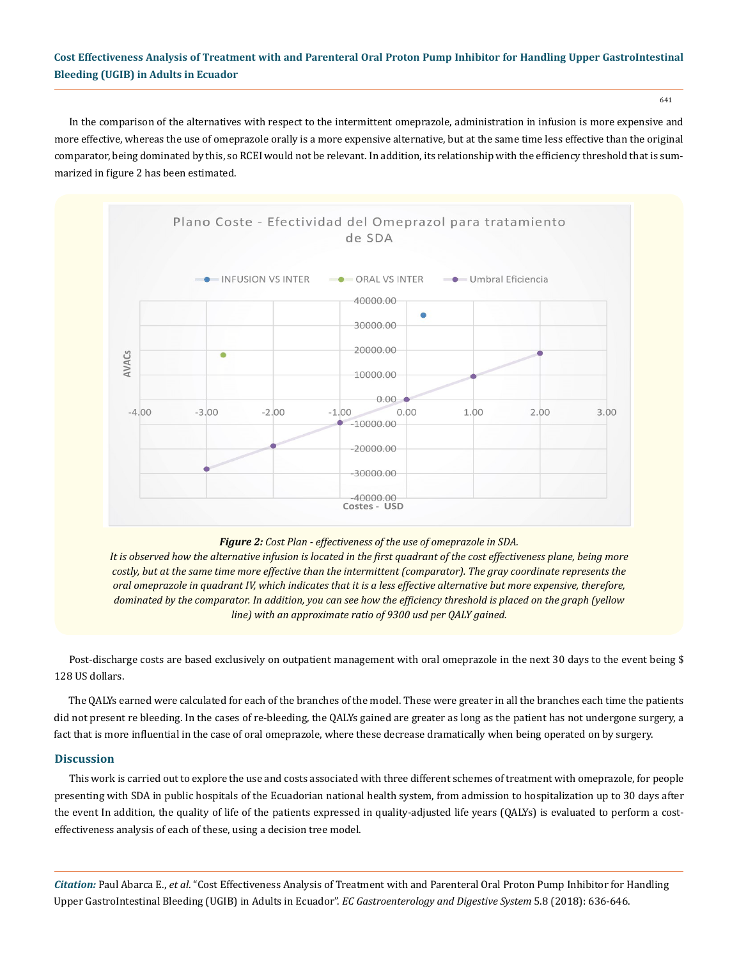641

In the comparison of the alternatives with respect to the intermittent omeprazole, administration in infusion is more expensive and more effective, whereas the use of omeprazole orally is a more expensive alternative, but at the same time less effective than the original comparator, being dominated by this, so RCEI would not be relevant. In addition, its relationship with the efficiency threshold that is summarized in figure 2 has been estimated.



## *Figure 2: Cost Plan - effectiveness of the use of omeprazole in SDA.*

*It is observed how the alternative infusion is located in the first quadrant of the cost effectiveness plane, being more costly, but at the same time more effective than the intermittent (comparator). The gray coordinate represents the oral omeprazole in quadrant IV, which indicates that it is a less effective alternative but more expensive, therefore, dominated by the comparator. In addition, you can see how the efficiency threshold is placed on the graph (yellow line) with an approximate ratio of 9300 usd per QALY gained.*

Post-discharge costs are based exclusively on outpatient management with oral omeprazole in the next 30 days to the event being \$ 128 US dollars.

The QALYs earned were calculated for each of the branches of the model. These were greater in all the branches each time the patients did not present re bleeding. In the cases of re-bleeding, the QALYs gained are greater as long as the patient has not undergone surgery, a fact that is more influential in the case of oral omeprazole, where these decrease dramatically when being operated on by surgery.

## **Discussion**

This work is carried out to explore the use and costs associated with three different schemes of treatment with omeprazole, for people presenting with SDA in public hospitals of the Ecuadorian national health system, from admission to hospitalization up to 30 days after the event In addition, the quality of life of the patients expressed in quality-adjusted life years (QALYs) is evaluated to perform a costeffectiveness analysis of each of these, using a decision tree model.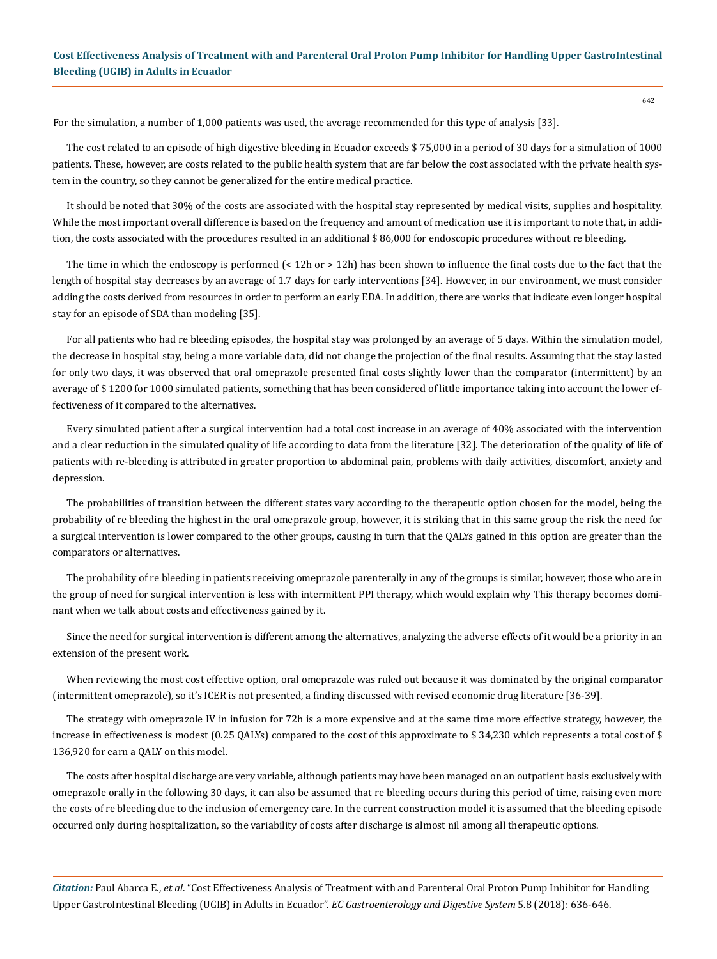642

For the simulation, a number of 1,000 patients was used, the average recommended for this type of analysis [33].

The cost related to an episode of high digestive bleeding in Ecuador exceeds \$ 75,000 in a period of 30 days for a simulation of 1000 patients. These, however, are costs related to the public health system that are far below the cost associated with the private health system in the country, so they cannot be generalized for the entire medical practice.

It should be noted that 30% of the costs are associated with the hospital stay represented by medical visits, supplies and hospitality. While the most important overall difference is based on the frequency and amount of medication use it is important to note that, in addition, the costs associated with the procedures resulted in an additional \$ 86,000 for endoscopic procedures without re bleeding.

The time in which the endoscopy is performed (< 12h or > 12h) has been shown to influence the final costs due to the fact that the length of hospital stay decreases by an average of 1.7 days for early interventions [34]. However, in our environment, we must consider adding the costs derived from resources in order to perform an early EDA. In addition, there are works that indicate even longer hospital stay for an episode of SDA than modeling [35].

For all patients who had re bleeding episodes, the hospital stay was prolonged by an average of 5 days. Within the simulation model, the decrease in hospital stay, being a more variable data, did not change the projection of the final results. Assuming that the stay lasted for only two days, it was observed that oral omeprazole presented final costs slightly lower than the comparator (intermittent) by an average of \$ 1200 for 1000 simulated patients, something that has been considered of little importance taking into account the lower effectiveness of it compared to the alternatives.

Every simulated patient after a surgical intervention had a total cost increase in an average of 40% associated with the intervention and a clear reduction in the simulated quality of life according to data from the literature [32]. The deterioration of the quality of life of patients with re-bleeding is attributed in greater proportion to abdominal pain, problems with daily activities, discomfort, anxiety and depression.

The probabilities of transition between the different states vary according to the therapeutic option chosen for the model, being the probability of re bleeding the highest in the oral omeprazole group, however, it is striking that in this same group the risk the need for a surgical intervention is lower compared to the other groups, causing in turn that the QALYs gained in this option are greater than the comparators or alternatives.

The probability of re bleeding in patients receiving omeprazole parenterally in any of the groups is similar, however, those who are in the group of need for surgical intervention is less with intermittent PPI therapy, which would explain why This therapy becomes dominant when we talk about costs and effectiveness gained by it.

Since the need for surgical intervention is different among the alternatives, analyzing the adverse effects of it would be a priority in an extension of the present work.

When reviewing the most cost effective option, oral omeprazole was ruled out because it was dominated by the original comparator (intermittent omeprazole), so it's ICER is not presented, a finding discussed with revised economic drug literature [36-39].

The strategy with omeprazole IV in infusion for 72h is a more expensive and at the same time more effective strategy, however, the increase in effectiveness is modest (0.25 QALYs) compared to the cost of this approximate to \$ 34,230 which represents a total cost of \$ 136,920 for earn a QALY on this model.

The costs after hospital discharge are very variable, although patients may have been managed on an outpatient basis exclusively with omeprazole orally in the following 30 days, it can also be assumed that re bleeding occurs during this period of time, raising even more the costs of re bleeding due to the inclusion of emergency care. In the current construction model it is assumed that the bleeding episode occurred only during hospitalization, so the variability of costs after discharge is almost nil among all therapeutic options.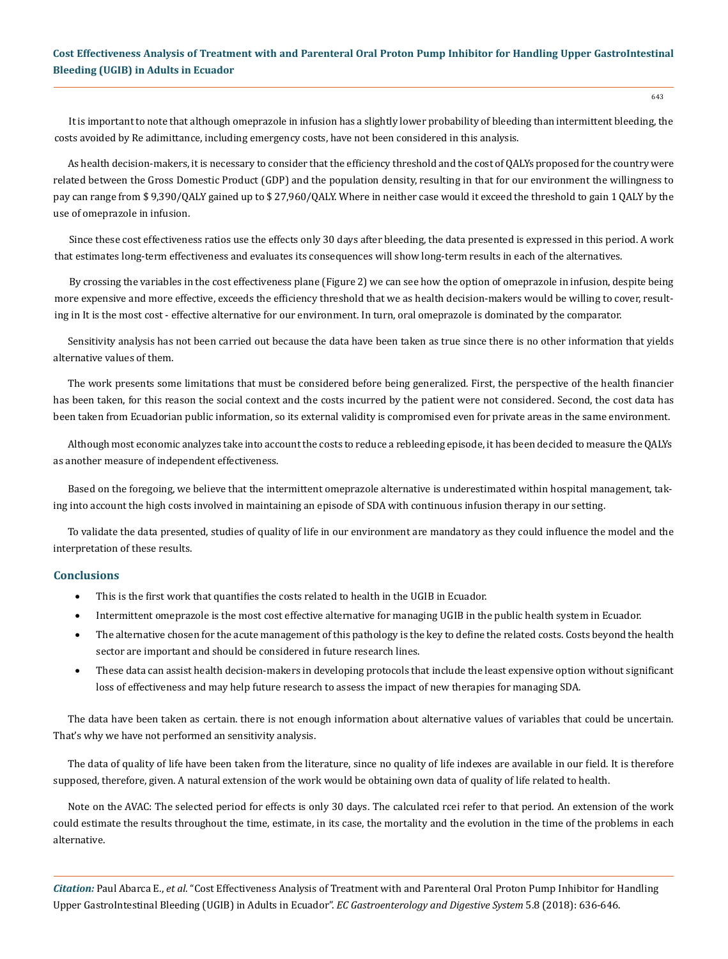It is important to note that although omeprazole in infusion has a slightly lower probability of bleeding than intermittent bleeding, the costs avoided by Re adimittance, including emergency costs, have not been considered in this analysis.

As health decision-makers, it is necessary to consider that the efficiency threshold and the cost of QALYs proposed for the country were related between the Gross Domestic Product (GDP) and the population density, resulting in that for our environment the willingness to pay can range from \$ 9,390/QALY gained up to \$ 27,960/QALY. Where in neither case would it exceed the threshold to gain 1 QALY by the use of omeprazole in infusion.

Since these cost effectiveness ratios use the effects only 30 days after bleeding, the data presented is expressed in this period. A work that estimates long-term effectiveness and evaluates its consequences will show long-term results in each of the alternatives.

By crossing the variables in the cost effectiveness plane (Figure 2) we can see how the option of omeprazole in infusion, despite being more expensive and more effective, exceeds the efficiency threshold that we as health decision-makers would be willing to cover, resulting in It is the most cost - effective alternative for our environment. In turn, oral omeprazole is dominated by the comparator.

Sensitivity analysis has not been carried out because the data have been taken as true since there is no other information that yields alternative values of them.

The work presents some limitations that must be considered before being generalized. First, the perspective of the health financier has been taken, for this reason the social context and the costs incurred by the patient were not considered. Second, the cost data has been taken from Ecuadorian public information, so its external validity is compromised even for private areas in the same environment.

Although most economic analyzes take into account the costs to reduce a rebleeding episode, it has been decided to measure the QALYs as another measure of independent effectiveness.

Based on the foregoing, we believe that the intermittent omeprazole alternative is underestimated within hospital management, taking into account the high costs involved in maintaining an episode of SDA with continuous infusion therapy in our setting.

To validate the data presented, studies of quality of life in our environment are mandatory as they could influence the model and the interpretation of these results.

#### **Conclusions**

- This is the first work that quantifies the costs related to health in the UGIB in Ecuador.
- Intermittent omeprazole is the most cost effective alternative for managing UGIB in the public health system in Ecuador.
- The alternative chosen for the acute management of this pathology is the key to define the related costs. Costs beyond the health sector are important and should be considered in future research lines.
- These data can assist health decision-makers in developing protocols that include the least expensive option without significant loss of effectiveness and may help future research to assess the impact of new therapies for managing SDA.

The data have been taken as certain. there is not enough information about alternative values of variables that could be uncertain. That's why we have not performed an sensitivity analysis.

The data of quality of life have been taken from the literature, since no quality of life indexes are available in our field. It is therefore supposed, therefore, given. A natural extension of the work would be obtaining own data of quality of life related to health.

Note on the AVAC: The selected period for effects is only 30 days. The calculated rcei refer to that period. An extension of the work could estimate the results throughout the time, estimate, in its case, the mortality and the evolution in the time of the problems in each alternative.

*Citation:* Paul Abarca E., *et al*. "Cost Effectiveness Analysis of Treatment with and Parenteral Oral Proton Pump Inhibitor for Handling Upper GastroIntestinal Bleeding (UGIB) in Adults in Ecuador". *EC Gastroenterology and Digestive System* 5.8 (2018): 636-646.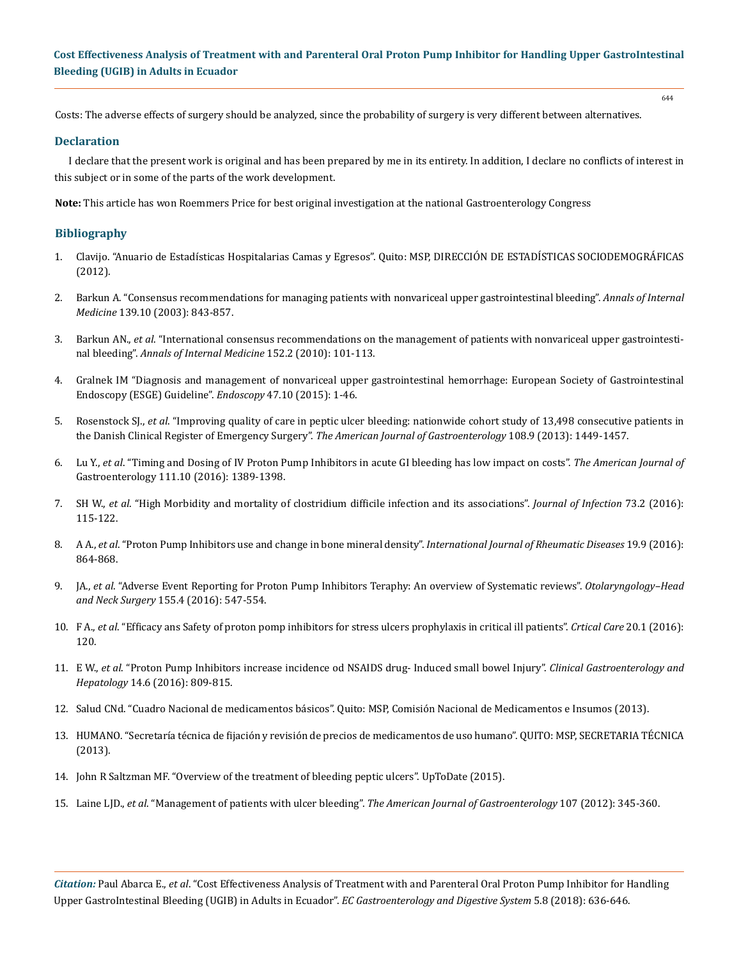644

Costs: The adverse effects of surgery should be analyzed, since the probability of surgery is very different between alternatives.

## **Declaration**

I declare that the present work is original and has been prepared by me in its entirety. In addition, I declare no conflicts of interest in this subject or in some of the parts of the work development.

**Note:** This article has won Roemmers Price for best original investigation at the national Gastroenterology Congress

## **Bibliography**

- 1. Clavijo. "Anuario de Estadísticas Hospitalarias Camas y Egresos". Quito: MSP, DIRECCIÓN DE ESTADÍSTICAS SOCIODEMOGRÁFICAS (2012).
- 2. [Barkun A. "Consensus recommendations for managing patients with nonvariceal upper gastrointestinal bleeding".](https://www.ncbi.nlm.nih.gov/pubmed/14623622) *Annals of Internal Medicine* [139.10 \(2003\): 843-857.](https://www.ncbi.nlm.nih.gov/pubmed/14623622)
- 3. Barkun AN., *et al*[. "International consensus recommendations on the management of patients with nonvariceal upper gastrointesti](https://www.ncbi.nlm.nih.gov/pubmed/20083829)nal bleeding". *[Annals of Internal Medicine](https://www.ncbi.nlm.nih.gov/pubmed/20083829)* 152.2 (2010): 101-113.
- 4. [Gralnek IM "Diagnosis and management of nonvariceal upper gastrointestinal hemorrhage: European Society of Gastrointestinal](https://hungary.pure.elsevier.com/en/publications/diagnosis-and-management-of-nonvariceal-upper-gastrointestinal-he)  [Endoscopy \(ESGE\) Guideline".](https://hungary.pure.elsevier.com/en/publications/diagnosis-and-management-of-nonvariceal-upper-gastrointestinal-he) *Endoscopy* 47.10 (2015): 1-46.
- 5. Rosenstock SJ., *et al*[. "Improving quality of care in peptic ulcer bleeding: nationwide cohort study of 13,498 consecutive patients in](https://www.ncbi.nlm.nih.gov/pubmed/23732464)  [the Danish Clinical Register of Emergency Surgery".](https://www.ncbi.nlm.nih.gov/pubmed/23732464) *The American Journal of Gastroenterology* 108.9 (2013): 1449-1457.
- 6. Lu Y., *et al*[. "Timing and Dosing of IV Proton Pump Inhibitors in acute GI bleeding has low impact on costs".](https://www.ncbi.nlm.nih.gov/pubmed/27140030) *The American Journal of*  [Gastroenterology 111.10 \(2016\): 1389-1398.](https://www.ncbi.nlm.nih.gov/pubmed/27140030)
- 7. SH W., *et al*[. "High Morbidity and mortality of clostridium difficile infection and its associations".](https://www.ncbi.nlm.nih.gov/pubmed/27246801) *Journal of Infection* 73.2 (2016): [115-122.](https://www.ncbi.nlm.nih.gov/pubmed/27246801)
- 8. A A., *et al*[. "Proton Pump Inhibitors use and change in bone mineral density".](https://www.ncbi.nlm.nih.gov/pubmed/27242025) *International Journal of Rheumatic Diseases* 19.9 (2016): [864-868.](https://www.ncbi.nlm.nih.gov/pubmed/27242025)
- 9. JA., *et al*[. "Adverse Event Reporting for Proton Pump Inhibitors Teraphy: An overview of Systematic reviews".](https://www.ncbi.nlm.nih.gov/pubmed/27188706) *Otolaryngology–Head and Neck Surgery* [155.4 \(2016\): 547-554.](https://www.ncbi.nlm.nih.gov/pubmed/27188706)
- 10. F A., *et al*[. "Efficacy ans Safety of proton pomp inhibitors for stress ulcers prophylaxis in critical ill patients".](https://www.ncbi.nlm.nih.gov/pubmed/27142116) *Crtical Care* 20.1 (2016): [120.](https://www.ncbi.nlm.nih.gov/pubmed/27142116)
- 11. E W., *et al*[. "Proton Pump Inhibitors increase incidence od NSAIDS drug- Induced small bowel Injury".](https://www.ncbi.nlm.nih.gov/pubmed/26538205) *Clinical Gastroenterology and Hepatology* [14.6 \(2016\): 809-815.](https://www.ncbi.nlm.nih.gov/pubmed/26538205)
- 12. Salud CNd. "Cuadro Nacional de medicamentos básicos". Quito: MSP, Comisión Nacional de Medicamentos e Insumos (2013).
- 13. HUMANO. "Secretaría técnica de fijación y revisión de precios de medicamentos de uso humano". QUITO: MSP, SECRETARIA TÉCNICA (2013).
- 14. [John R Saltzman MF. "Overview of the treatment of bleeding peptic ulcers". UpToDate \(2015\).](https://www.uptodate.com/contents/overview-of-the-treatment-of-bleeding-peptic-ulcers)
- 15. Laine LJD., *et al*. "Management of patients with ulcer bleeding". *[The American Journal of Gastroenterology](https://gi.org/guideline/management-of-patients-with-ulcer-bleeding/)* 107 (2012): 345-360.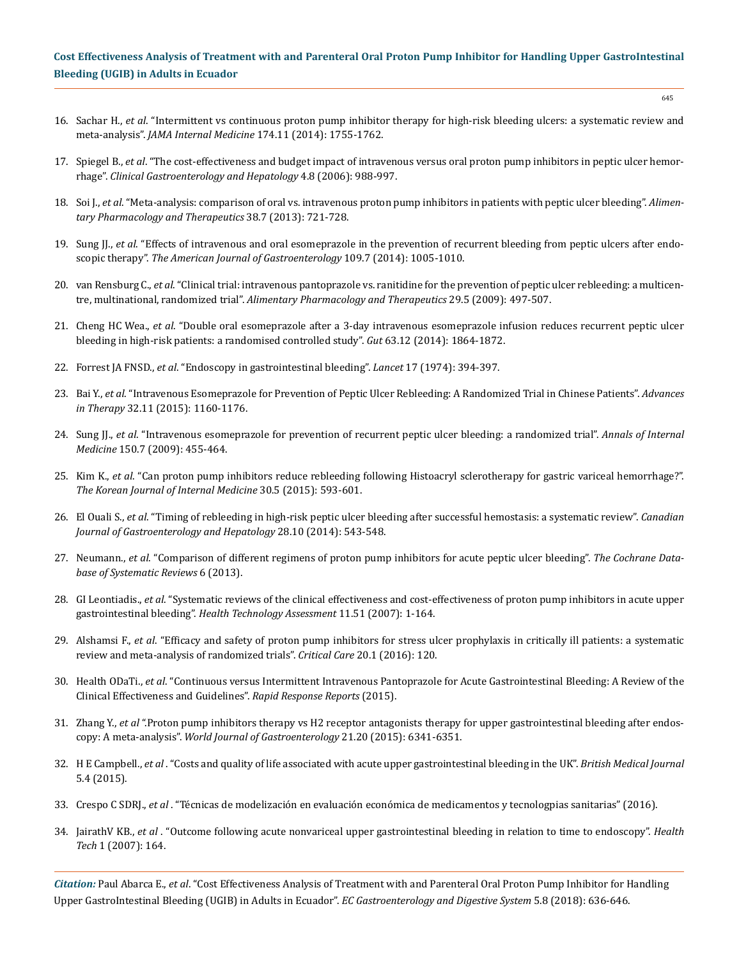- 645
- 16. Sachar H., *et al*[. "Intermittent vs continuous proton pump inhibitor therapy for high-risk bleeding ulcers: a systematic review and](https://www.ncbi.nlm.nih.gov/pubmed/25201154)  meta-analysis". *[JAMA Internal Medicine](https://www.ncbi.nlm.nih.gov/pubmed/25201154)* 174.11 (2014): 1755-1762.
- 17. Spiegel B., *et al*[. "The cost-effectiveness and budget impact of intravenous versus oral proton pump inhibitors in peptic ulcer hemor](https://www.ncbi.nlm.nih.gov/pubmed/16844422)rhage". *[Clinical Gastroenterology and Hepatology](https://www.ncbi.nlm.nih.gov/pubmed/16844422)* 4.8 (2006): 988-997.
- 18. Soi J., *et al*[. "Meta-analysis: comparison of oral vs. intravenous proton pump inhibitors in patients with peptic ulcer bleeding".](https://www.ncbi.nlm.nih.gov/pubmed/23915096) *Alimen[tary Pharmacology and Therapeutics](https://www.ncbi.nlm.nih.gov/pubmed/23915096)* 38.7 (2013): 721-728.
- 19. Sung JJ., *et al*[. "Effects of intravenous and oral esomeprazole in the prevention of recurrent bleeding from peptic ulcers after endo](https://www.ncbi.nlm.nih.gov/pubmed/24777150)scopic therapy". *[The American Journal of Gastroenterology](https://www.ncbi.nlm.nih.gov/pubmed/24777150)* 109.7 (2014): 1005-1010.
- 20. van Rensburg C., *et al*[. "Clinical trial: intravenous pantoprazole vs. ranitidine for the prevention of peptic ulcer rebleeding: a multicen](https://www.ncbi.nlm.nih.gov/pubmed/19053987)tre, multinational, randomized trial". *[Alimentary Pharmacology and Therapeutics](https://www.ncbi.nlm.nih.gov/pubmed/19053987)* 29.5 (2009): 497-507.
- 21. Cheng HC Wea., *et al*[. "Double oral esomeprazole after a 3-day intravenous esomeprazole infusion reduces recurrent peptic ulcer](https://www.ncbi.nlm.nih.gov/pubmed/24658598)  [bleeding in high-risk patients: a randomised controlled study".](https://www.ncbi.nlm.nih.gov/pubmed/24658598) *Gut* 63.12 (2014): 1864-1872.
- 22. Forrest JA FNSD., *et al*[. "Endoscopy in gastrointestinal bleeding".](https://www.ncbi.nlm.nih.gov/pubmed/4136718) *Lancet* 17 (1974): 394-397.
- 23. Bai Y., *et al*[. "Intravenous Esomeprazole for Prevention of Peptic Ulcer Rebleeding: A Randomized Trial in Chinese Patients".](https://www.ncbi.nlm.nih.gov/pubmed/26581750) *Advances in Therapy* 32.11 [\(2015\): 1160-1176.](https://www.ncbi.nlm.nih.gov/pubmed/26581750)
- 24. Sung JJ., *et al*[. "Intravenous esomeprazole for prevention of recurrent peptic ulcer bleeding: a randomized trial".](https://www.ncbi.nlm.nih.gov/pubmed/19221370) *Annals of Internal Medicine* [150.7 \(2009\): 455-464.](https://www.ncbi.nlm.nih.gov/pubmed/19221370)
- 25. Kim K., *et al*[. "Can proton pump inhibitors reduce rebleeding following Histoacryl sclerotherapy for gastric variceal hemorrhage?".](https://www.ncbi.nlm.nih.gov/pubmed/26354053)  *[The Korean Journal of Internal Medicine](https://www.ncbi.nlm.nih.gov/pubmed/26354053)* 30.5 (2015): 593-601.
- 26. El Ouali S., *et al*[. "Timing of rebleeding in high-risk peptic ulcer bleeding after successful hemostasis: a systematic review".](https://www.ncbi.nlm.nih.gov/pubmed/25390616) *Canadian [Journal of Gastroenterology and Hepatology](https://www.ncbi.nlm.nih.gov/pubmed/25390616)* 28.10 (2014): 543-548.
- 27. Neumann., *et al*[. "Comparison of different regimens of proton pump inhibitors for acute peptic ulcer bleeding".](https://www.ncbi.nlm.nih.gov/pubmed/23760821) *The Cochrane Data[base of Systematic Reviews](https://www.ncbi.nlm.nih.gov/pubmed/23760821)* 6 (2013).
- 28. GI Leontiadis., *et al*[. "Systematic reviews of the clinical effectiveness and cost-effectiveness of proton pump inhibitors in acute upper](https://www.ncbi.nlm.nih.gov/pubmed/18021578)  gastrointestinal bleeding". *[Health Technology Assessment](https://www.ncbi.nlm.nih.gov/pubmed/18021578)* 11.51 (2007): 1-164.
- 29. Alshamsi F., *et al*[. "Efficacy and safety of proton pump inhibitors for stress ulcer prophylaxis in critically ill patients: a systematic](https://www.ncbi.nlm.nih.gov/pubmed/27142116)  [review and meta-analysis of randomized trials".](https://www.ncbi.nlm.nih.gov/pubmed/27142116) *Critical Care* 20.1 (2016): 120.
- 30. Health ODaTi., *et al*[. "Continuous versus Intermittent Intravenous Pantoprazole for Acute Gastrointestinal Bleeding: A Review of the](https://www.ncbi.nlm.nih.gov/books/NBK304732/)  [Clinical Effectiveness and Guidelines".](https://www.ncbi.nlm.nih.gov/books/NBK304732/) *Rapid Response Reports* (2015).
- 31. Zhang Y., *et al* [".Proton pump inhibitors therapy vs H2 receptor antagonists therapy for upper gastrointestinal bleeding after endos](https://www.ncbi.nlm.nih.gov/pubmed/26034370)copy: A meta-analysis". *[World Journal of Gastroenterology](https://www.ncbi.nlm.nih.gov/pubmed/26034370)* 21.20 (2015): 6341-6351.
- 32. H E Campbell., *et al* [. "Costs and quality of life associated with acute upper gastrointestinal bleeding in the UK".](https://www.ncbi.nlm.nih.gov/pubmed/25926146) *British Medical Journal* [5.4 \(2015\).](https://www.ncbi.nlm.nih.gov/pubmed/25926146)
- 33. Crespo C SDRJ., *et al* . "Técnicas de modelización en evaluación económica de medicamentos y tecnologpias sanitarias" (2016).
- 34. JairathV KB., *et al* . "Outcome following acute nonvariceal upper gastrointestinal bleeding in relation to time to endoscopy". *Health Tech* 1 (2007): 164.